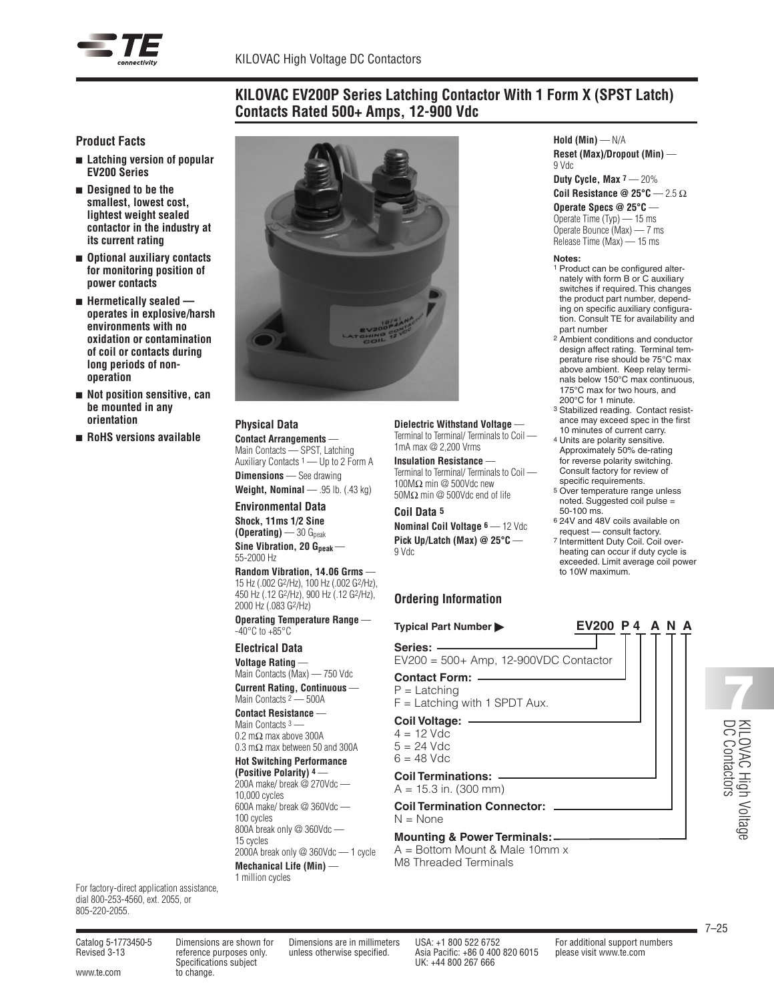

## **KILOVAC EV200P Series Latching Contactor With 1 Form X (SPST Latch) Contacts Rated 500+ Amps, 12-900 Vdc**

#### **Product Facts**

- <sup>n</sup> **Latching version of popular EV200 Series**
- <sup>n</sup> **Designed to be the smallest, lowest cost, lightest weight sealed contactor in the industry at its current rating**
- <sup>n</sup> **Optional auxiliary contacts for monitoring position of power contacts**
- <sup>n</sup> **Hermetically sealed operates in explosive/harsh environments with no oxidation or contamination of coil or contacts during long periods of nonoperation**
- <sup>n</sup> **Not position sensitive, can be mounted in any orientation**
- <sup>n</sup> **RoHS versions available**



#### **Physical Data**

**Contact Arrangements** — Main Contacts — SPST, Latching Auxiliary Contacts 1 — Up to 2 Form A **Dimensions** — See drawing

**Weight, Nominal** — .95 lb. (.43 kg)

# **Environmental Data**

**Shock, 11ms 1/2 Sine (Operating)** — 30  $G_{peak}$  $Sine$  *Vibration*, 20  $G_{peak}$  – 55-2000 Hz

**Random Vibration, 14.06 Grms** — Hz (.002 G2/Hz), 100 Hz (.002 G2/Hz), Hz (.12 G2/Hz), 900 Hz (.12 G2/Hz), Hz (.083 G2/Hz)

**Operating Temperature Range** —  $-40^{\circ}$ C to  $+85^{\circ}$ C

**Electrical Data Voltage Rating** —

Main Contacts (Max) — 750 Vdc

**Current Rating, Continuous** — Main Contacts <sup>2</sup> - 500A

**Contact Resistance** — Main Contacts 3 -0.2 mΩ max above 300A 0.3 mΩ max between 50 and 300A

## **Hot Switching Performance**

**(Positive Polarity) 4** — 200A make/ break @ 270Vdc — 10,000 cycles 600A make/ break @ 360Vdc — 100 cycles 800A break only @ 360Vdc — 15 cycles 2000A break only @ 360Vdc — 1 cycle

**Mechanical Life (Min)** — 1 million cycles

**Dielectric Withstand Voltage** — Terminal to Terminal/ Terminals to Coil —

1mA max @ 2,200 Vrms

**Insulation Resistance** — Terminal to Terminal/ Terminals to Coil — 100MΩ min @ 500Vdc new 50MΩ min @ 500Vdc end of life

#### **Coil Data 5**

**Nominal Coil Voltage 6** — 12 Vdc **Pick Up/Latch (Max) @ 25°C** — 9 Vdc

## **Ordering Information**

**Typical Part Number EV200 P 4 A N A**

**Series:** EV200 = 500+ Amp, 12-900VDC Contactor

**Contact Form:** P = Latching

 $F =$  Latching with 1 SPDT Aux.

**Coil Voltage:**  $4 = 12$  Vdc

 $5 = 24$  Vdc  $6 = 48$  Vdc

**Coil Terminations:**

 $A = 15.3$  in. (300 mm)

**Coil Termination Connector:**  $N = None$ 

## **Mounting & Power Terminals:**

A = Bottom Mount & Male 10mm x M8 Threaded Terminals

**Hold (Min)** — N/A **Reset (Max)/Dropout (Min)** — 9 Vdc **Duty Cycle, Max 7** — 20% **Coil Resistance @ 25°C** — 2.5 Ω **Operate Specs @ 25°C** —

Operate Time (Typ) — 15 ms Operate Bounce (Max) — 7 ms Release Time (Max) — 15 ms

#### **Notes:**

- 1 Product can be configured alternately with form B or C auxiliary switches if required. This changes the product part number, depending on specific auxiliary configuration. Consult TE for availability and part number
- 2 Ambient conditions and conductor design affect rating. Terminal temperature rise should be 75°C max above ambient. Keep relay terminals below 150°C max continuous, 175°C max for two hours, and 200°C for 1 minute.
- 3 Stabilized reading. Contact resistance may exceed spec in the first 10 minutes of current carry.
- 4 Units are polarity sensitive. Approximately 50% de-rating for reverse polarity switching. Consult factory for review of specific requirements.
- 5 Over temperature range unless noted. Suggested coil pulse = 50-100 ms.
- 6 24V and 48V coils available on request — consult factory.
- 7 Intermittent Duty Coil. Coil overheating can occur if duty cycle is exceeded. Limit average coil power to 10W maximum.

KILO  $\lessapprox$ High Voltage D C Contact High<br> **RILOVAC High** 

For factory-direct application assistance, dial 800-253-4560, ext. 2055, or

805-220-2055.

www.te.com to change.

Specifications subject UK: +44 800 267 666

Catalog 5-1773450-5 Dimensions are shown for Dimensions are in millimeters USA: +1 800 522 6752 For additional support numbers Revised 3-13 reference purposes only. unless otherwise specified. Asia Pacific: +86 0 400 820 6015 please visit www.te.com